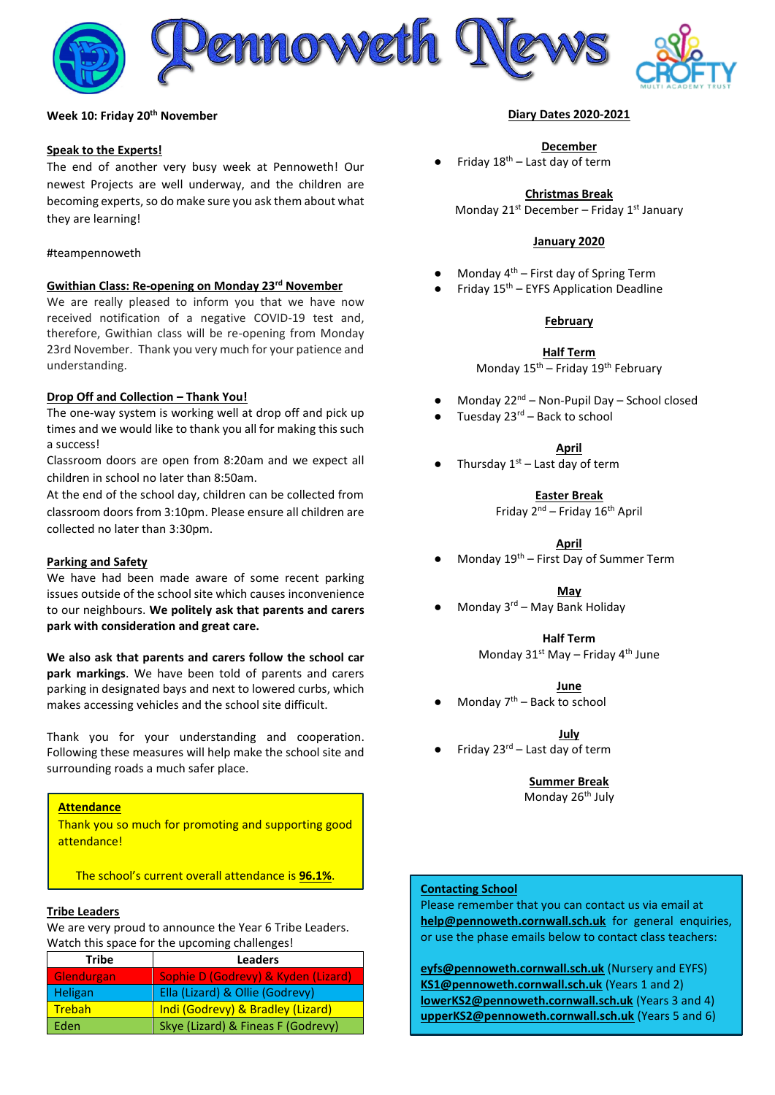

#### **Week 10: Friday 20th November**

#### **Speak to the Experts!**

The end of another very busy week at Pennoweth! Our newest Projects are well underway, and the children are becoming experts, so do make sure you ask them about what they are learning!

#### #teampennoweth

## **Gwithian Class: Re-opening on Monday 23rd November**

We are really pleased to inform you that we have now received notification of a negative COVID-19 test and, therefore, Gwithian class will be re-opening from Monday 23rd November. Thank you very much for your patience and understanding.

#### **Drop Off and Collection – Thank You!**

The one-way system is working well at drop off and pick up times and we would like to thank you all for making this such a success!

Classroom doors are open from 8:20am and we expect all children in school no later than 8:50am.

At the end of the school day, children can be collected from classroom doors from 3:10pm. Please ensure all children are collected no later than 3:30pm.

#### **Parking and Safety**

We have had been made aware of some recent parking issues outside of the school site which causes inconvenience to our neighbours. **We politely ask that parents and carers park with consideration and great care.**

**We also ask that parents and carers follow the school car park markings**. We have been told of parents and carers parking in designated bays and next to lowered curbs, which makes accessing vehicles and the school site difficult.

Thank you for your understanding and cooperation. Following these measures will help make the school site and surrounding roads a much safer place.

#### **Attendance**

Thank you so much for promoting and supporting good attendance!

The school's current overall attendance is **96.1%**.

#### **Tribe Leaders**

We are very proud to announce the Year 6 Tribe Leaders. Watch this space for the upcoming challenges!

| <b>Tribe</b> | <b>Leaders</b>                      |
|--------------|-------------------------------------|
| Glendurgan   | Sophie D (Godrevy) & Kyden (Lizard) |
| Heligan      | Ella (Lizard) & Ollie (Godrevy)     |
| Trebah       | Indi (Godrevy) & Bradley (Lizard)   |
| Eden         | Skye (Lizard) & Fineas F (Godrevy)  |

#### **Diary Dates 2020-2021**

#### **December**

Friday  $18<sup>th</sup>$  – Last day of term

**Christmas Break**

Monday  $21^{st}$  December – Friday  $1^{st}$  January

#### **January 2020**

- Monday  $4<sup>th</sup>$  First day of Spring Term
- Friday  $15<sup>th</sup>$  EYFS Application Deadline

#### **February**

**Half Term** Monday 15th – Friday 19th February

- Monday 22<sup>nd</sup> Non-Pupil Day School closed
- Tuesday  $23^{rd}$  Back to school
	- **April**
- Thursday  $1<sup>st</sup>$  Last day of term

**Easter Break**

Friday  $2^{nd}$  – Friday  $16^{th}$  April

## **April**

Monday  $19<sup>th</sup>$  – First Day of Summer Term

**May**

Monday  $3<sup>rd</sup>$  – May Bank Holiday

**Half Term** Monday  $31^{st}$  May – Friday  $4^{th}$  June

**June**

Monday  $7<sup>th</sup>$  – Back to school

**July**

Friday  $23^{rd}$  – Last day of term

**Summer Break** Monday 26<sup>th</sup> July

# **Contacting School**

Please remember that you can contact us via email at **[help@pennoweth.cornwall.sch.uk](mailto:help@pennoweth.cornwall.sch.uk)** for general enquiries, or use the phase emails below to contact class teachers:

**[eyfs@pennoweth.cornwall.sch.uk](mailto:eyfs@pennoweth.cornwall.sch.uk)** (Nursery and EYFS) **[KS1@pennoweth.cornwall.sch.uk](mailto:KS1@pennoweth.cornwall.sch.uk)** (Years 1 and 2) **[lowerKS2@pennoweth.cornwall.sch.uk](mailto:lowerKS2@pennoweth.cornwall.sch.uk)** (Years 3 and 4) **[upperKS2@pennoweth.cornwall.sch.uk](mailto:upperKS2@pennoweth.cornwall.sch.uk)** (Years 5 and 6)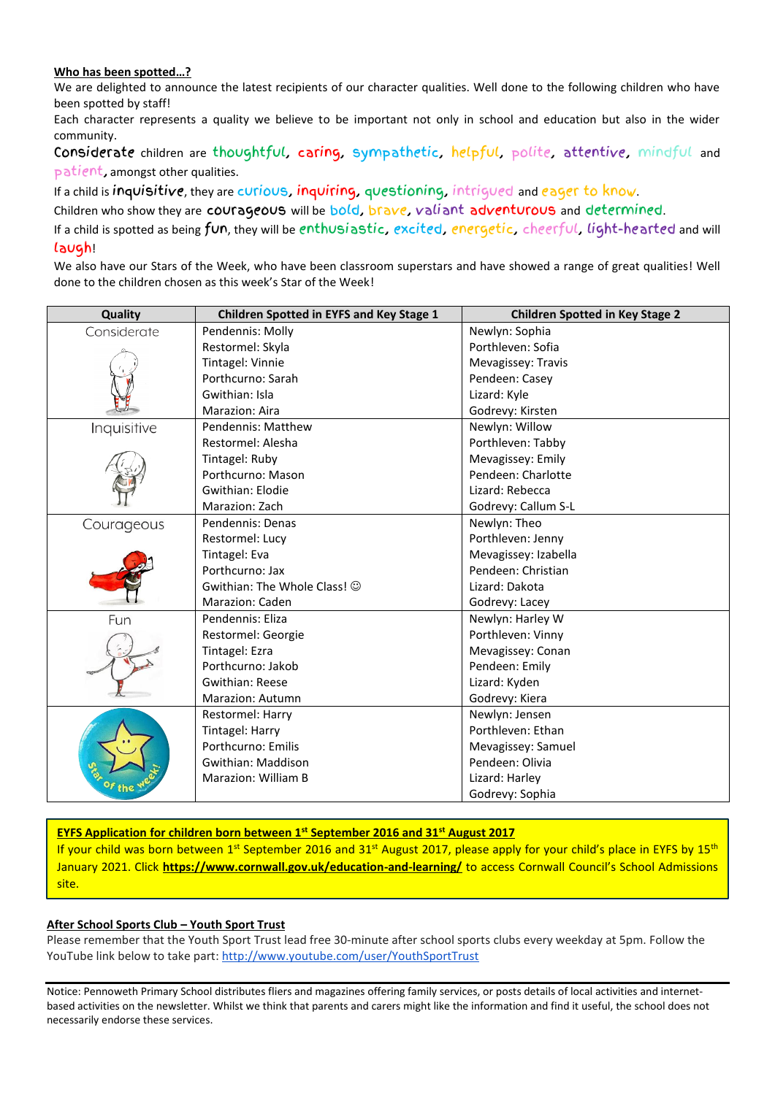# **Who has been spotted…?**

We are delighted to announce the latest recipients of our character qualities. Well done to the following children who have been spotted by staff!

Each character represents a quality we believe to be important not only in school and education but also in the wider community.

Considerate children are thoughtful, caring, sympathetic, helpful, polite, attentive, mindful and patient, amongst other qualities.

If a child is inquisitive, they are curious, inquiring, questioning, intrigued and eager to know.

Children who show they are courageous will be bold, brave, valiant adventurous and determined.

If a child is spotted as being fun, they will be enthusiastic, excited, energetic, cheerful, light-hearted and will laugh!

We also have our Stars of the Week, who have been classroom superstars and have showed a range of great qualities! Well done to the children chosen as this week's Star of the Week!

| Quality     | <b>Children Spotted in EYFS and Key Stage 1</b> | <b>Children Spotted in Key Stage 2</b> |
|-------------|-------------------------------------------------|----------------------------------------|
| Considerate | Pendennis: Molly                                | Newlyn: Sophia                         |
|             | Restormel: Skyla                                | Porthleven: Sofia                      |
|             | Tintagel: Vinnie                                | Mevagissey: Travis                     |
|             | Porthcurno: Sarah                               | Pendeen: Casey                         |
|             | Gwithian: Isla                                  | Lizard: Kyle                           |
|             | Marazion: Aira                                  | Godrevy: Kirsten                       |
| Inquisitive | Pendennis: Matthew                              | Newlyn: Willow                         |
|             | Restormel: Alesha                               | Porthleven: Tabby                      |
|             | Tintagel: Ruby                                  | Mevagissey: Emily                      |
|             | Porthcurno: Mason                               | Pendeen: Charlotte                     |
|             | Gwithian: Elodie                                | Lizard: Rebecca                        |
|             | Marazion: Zach                                  | Godrevy: Callum S-L                    |
| Courageous  | Pendennis: Denas                                | Newlyn: Theo                           |
|             | Restormel: Lucy                                 | Porthleven: Jenny                      |
|             | Tintagel: Eva                                   | Mevagissey: Izabella                   |
|             | Porthcurno: Jax                                 | Pendeen: Christian                     |
|             | Gwithian: The Whole Class! $\odot$              | Lizard: Dakota                         |
|             | Marazion: Caden                                 | Godrevy: Lacey                         |
| Fun         | Pendennis: Eliza                                | Newlyn: Harley W                       |
|             | Restormel: Georgie                              | Porthleven: Vinny                      |
|             | Tintagel: Ezra                                  | Mevagissey: Conan                      |
|             | Porthcurno: Jakob                               | Pendeen: Emily                         |
|             | <b>Gwithian: Reese</b>                          | Lizard: Kyden                          |
|             | <b>Marazion: Autumn</b>                         | Godrevy: Kiera                         |
|             | Restormel: Harry                                | Newlyn: Jensen                         |
|             | Tintagel: Harry                                 | Porthleven: Ethan                      |
|             | Porthcurno: Emilis                              | Mevagissey: Samuel                     |
|             | Gwithian: Maddison                              | Pendeen: Olivia                        |
|             | Marazion: William B                             | Lizard: Harley                         |
|             |                                                 | Godrevy: Sophia                        |

# **EYFS Application for children born between 1st September 2016 and 31st August 2017**

University 2021 Click **https://www.corpwall gov.uk/edu** January 2021. Click <https://www.cornwall.gov.uk/education-and-learning/> to access Cornwall Council's School Admissions day is important. Please help them not to miss any of this value time. Please help this value time. This value If your child was born between  $1^{st}$  September 2016 and  $31^{st}$  August 2017, please apply for your child's place in EYFS by 15<sup>th</sup> site.

## **After School Sports Club – Youth Sport Trust**

Please remember that the Youth Sport Trust lead free 30-minute after school sports clubs every weekday at 5pm. Follow the YouTube link below to take part: <http://www.youtube.com/user/YouthSportTrust>

Notice: Pennoweth Primary School distributes fliers and magazines offering family services, or posts details of local activities and internetbased activities on the newsletter. Whilst we think that parents and carers might like the information and find it useful, the school does not necessarily endorse these services.